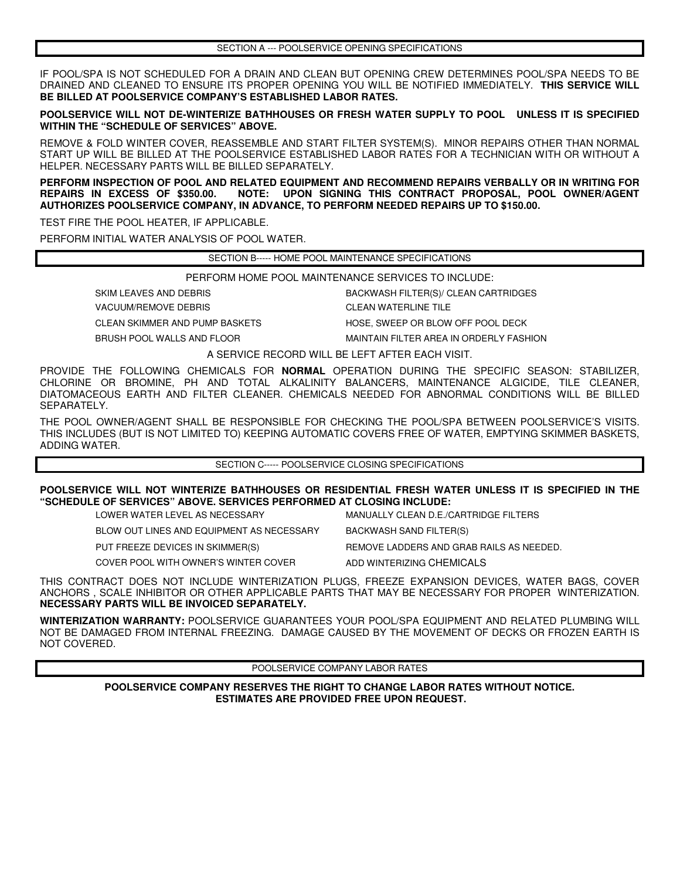IF POOL/SPA IS NOT SCHEDULED FOR A DRAIN AND CLEAN BUT OPENING CREW DETERMINES POOL/SPA NEEDS TO BE DRAINED AND CLEANED TO ENSURE ITS PROPER OPENING YOU WILL BE NOTIFIED IMMEDIATELY. **THIS SERVICE WILL BE BILLED AT POOLSERVICE COMPANY'S ESTABLISHED LABOR RATES.** 

**POOLSERVICE WILL NOT DE-WINTERIZE BATHHOUSES OR FRESH WATER SUPPLY TO POOL UNLESS IT IS SPECIFIED WITHIN THE "SCHEDULE OF SERVICES" ABOVE.** 

REMOVE & FOLD WINTER COVER, REASSEMBLE AND START FILTER SYSTEM(S). MINOR REPAIRS OTHER THAN NORMAL START UP WILL BE BILLED AT THE POOLSERVICE ESTABLISHED LABOR RATES FOR A TECHNICIAN WITH OR WITHOUT A HELPER. NECESSARY PARTS WILL BE BILLED SEPARATELY.

**PERFORM INSPECTION OF POOL AND RELATED EQUIPMENT AND RECOMMEND REPAIRS VERBALLY OR IN WRITING FOR REPAIRS IN EXCESS OF \$350.00. NOTE: UPON SIGNING THIS CONTRACT PROPOSAL, POOL OWNER/AGENT AUTHORIZES POOLSERVICE COMPANY, IN ADVANCE, TO PERFORM NEEDED REPAIRS UP TO \$150.00.** 

TEST FIRE THE POOL HEATER, IF APPLICABLE.

PERFORM INITIAL WATER ANALYSIS OF POOL WATER.

SECTION B----- HOME POOL MAINTENANCE SPECIFICATIONS

PERFORM HOME POOL MAINTENANCE SERVICES TO INCLUDE:

SKIM LEAVES AND DEBRIS **BACKWASH FILTER(S)/ CLEAN CARTRIDGES** 

CLEAN SKIMMER AND PUMP BASKETS HOSE, SWEEP OR BLOW OFF POOL DECK

VACUUM/REMOVE DEBRIS CLEAN WATERLINE TILE

BRUSH POOL WALLS AND FLOOR MAINTAIN FILTER AREA IN ORDERLY FASHION

A SERVICE RECORD WILL BE LEFT AFTER EACH VISIT.

PROVIDE THE FOLLOWING CHEMICALS FOR **NORMAL** OPERATION DURING THE SPECIFIC SEASON: STABILIZER, CHLORINE OR BROMINE, PH AND TOTAL ALKALINITY BALANCERS, MAINTENANCE ALGICIDE, TILE CLEANER, DIATOMACEOUS EARTH AND FILTER CLEANER. CHEMICALS NEEDED FOR ABNORMAL CONDITIONS WILL BE BILLED SEPARATELY.

THE POOL OWNER/AGENT SHALL BE RESPONSIBLE FOR CHECKING THE POOL/SPA BETWEEN POOLSERVICE'S VISITS. THIS INCLUDES (BUT IS NOT LIMITED TO) KEEPING AUTOMATIC COVERS FREE OF WATER, EMPTYING SKIMMER BASKETS, ADDING WATER.

SECTION C----- POOLSERVICE CLOSING SPECIFICATIONS

**POOLSERVICE WILL NOT WINTERIZE BATHHOUSES OR RESIDENTIAL FRESH WATER UNLESS IT IS SPECIFIED IN THE "SCHEDULE OF SERVICES" ABOVE. SERVICES PERFORMED AT CLOSING INCLUDE:**

LOWER WATER LEVEL AS NECESSARY MANUALLY CLEAN D.E./CARTRIDGE FILTERS

BLOW OUT LINES AND EQUIPMENT AS NECESSARY BACKWASH SAND FILTER(S)

PUT FREEZE DEVICES IN SKIMMER(S) REMOVE LADDERS AND GRAB RAILS AS NEEDED.

COVER POOL WITH OWNER'S WINTER COVER ADD WINTERIZING CHEMICALS

THIS CONTRACT DOES NOT INCLUDE WINTERIZATION PLUGS, FREEZE EXPANSION DEVICES, WATER BAGS, COVER ANCHORS , SCALE INHIBITOR OR OTHER APPLICABLE PARTS THAT MAY BE NECESSARY FOR PROPER WINTERIZATION. **NECESSARY PARTS WILL BE INVOICED SEPARATELY.**

**WINTERIZATION WARRANTY:** POOLSERVICE GUARANTEES YOUR POOL/SPA EQUIPMENT AND RELATED PLUMBING WILL NOT BE DAMAGED FROM INTERNAL FREEZING. DAMAGE CAUSED BY THE MOVEMENT OF DECKS OR FROZEN EARTH IS NOT COVERED.

POOLSERVICE COMPANY LABOR RATES

**POOLSERVICE COMPANY RESERVES THE RIGHT TO CHANGE LABOR RATES WITHOUT NOTICE. ESTIMATES ARE PROVIDED FREE UPON REQUEST.**